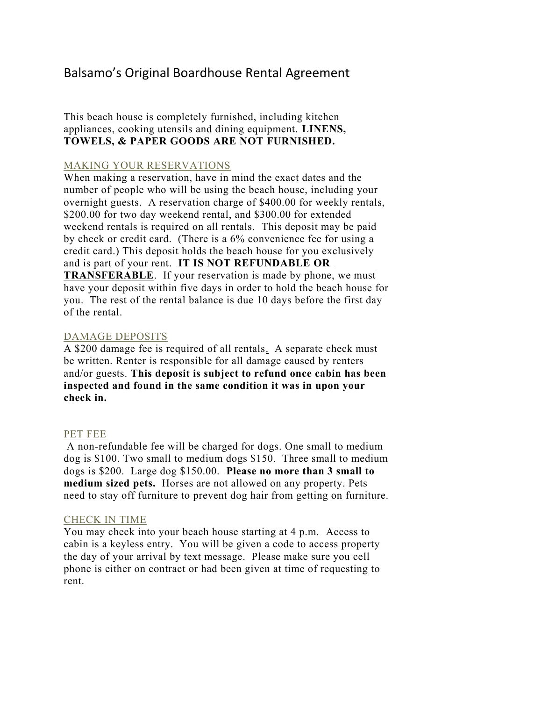# Balsamo's Original Boardhouse Rental Agreement

# This beach house is completely furnished, including kitchen appliances, cooking utensils and dining equipment. **LINENS, TOWELS, & PAPER GOODS ARE NOT FURNISHED.**

# MAKING YOUR RESERVATIONS

When making a reservation, have in mind the exact dates and the number of people who will be using the beach house, including your overnight guests. A reservation charge of \$400.00 for weekly rentals, \$200.00 for two day weekend rental, and \$300.00 for extended weekend rentals is required on all rentals. This deposit may be paid by check or credit card. (There is a 6% convenience fee for using a credit card.) This deposit holds the beach house for you exclusively and is part of your rent. **IT IS NOT REFUNDABLE OR TRANSFERABLE**. If your reservation is made by phone, we must have your deposit within five days in order to hold the beach house for you. The rest of the rental balance is due 10 days before the first day of the rental.

#### DAMAGE DEPOSITS

A \$200 damage fee is required of all rentals. A separate check must be written. Renter is responsible for all damage caused by renters and/or guests. **This deposit is subject to refund once cabin has been inspected and found in the same condition it was in upon your check in.**

# PET FEE

A non-refundable fee will be charged for dogs. One small to medium dog is \$100. Two small to medium dogs \$150. Three small to medium dogs is \$200. Large dog \$150.00. **Please no more than 3 small to medium sized pets.** Horses are not allowed on any property. Pets need to stay off furniture to prevent dog hair from getting on furniture.

#### CHECK IN TIME

You may check into your beach house starting at 4 p.m. Access to cabin is a keyless entry. You will be given a code to access property the day of your arrival by text message. Please make sure you cell phone is either on contract or had been given at time of requesting to rent.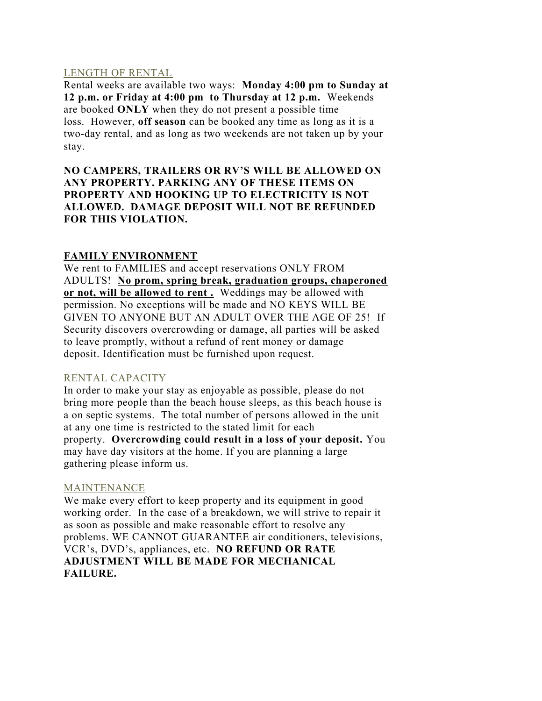# LENGTH OF RENTAL

Rental weeks are available two ways: **Monday 4:00 pm to Sunday at 12 p.m. or Friday at 4:00 pm to Thursday at 12 p.m.** Weekends are booked **ONLY** when they do not present a possible time loss. However, **off season** can be booked any time as long as it is a two-day rental, and as long as two weekends are not taken up by your stay.

**NO CAMPERS, TRAILERS OR RV'S WILL BE ALLOWED ON ANY PROPERTY. PARKING ANY OF THESE ITEMS ON PROPERTY AND HOOKING UP TO ELECTRICITY IS NOT ALLOWED. DAMAGE DEPOSIT WILL NOT BE REFUNDED FOR THIS VIOLATION.**

# **FAMILY ENVIRONMENT**

We rent to FAMILIES and accept reservations ONLY FROM ADULTS! **No prom, spring break, graduation groups, chaperoned or not, will be allowed to rent .** Weddings may be allowed with permission. No exceptions will be made and NO KEYS WILL BE GIVEN TO ANYONE BUT AN ADULT OVER THE AGE OF 25! If Security discovers overcrowding or damage, all parties will be asked to leave promptly, without a refund of rent money or damage deposit. Identification must be furnished upon request.

# RENTAL CAPACITY

In order to make your stay as enjoyable as possible, please do not bring more people than the beach house sleeps, as this beach house is a on septic systems. The total number of persons allowed in the unit at any one time is restricted to the stated limit for each property. **Overcrowding could result in a loss of your deposit.** You may have day visitors at the home. If you are planning a large gathering please inform us.

# MAINTENANCE

We make every effort to keep property and its equipment in good working order. In the case of a breakdown, we will strive to repair it as soon as possible and make reasonable effort to resolve any problems. WE CANNOT GUARANTEE air conditioners, televisions, VCR's, DVD's, appliances, etc. **NO REFUND OR RATE ADJUSTMENT WILL BE MADE FOR MECHANICAL FAILURE.**